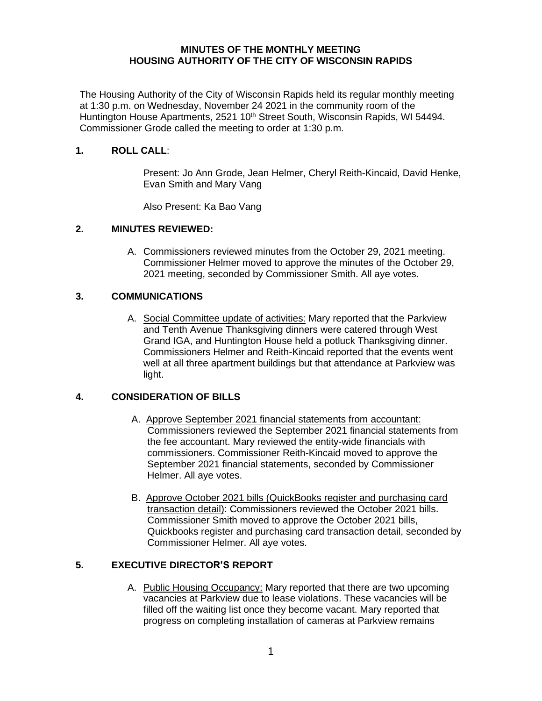#### **MINUTES OF THE MONTHLY MEETING HOUSING AUTHORITY OF THE CITY OF WISCONSIN RAPIDS**

The Housing Authority of the City of Wisconsin Rapids held its regular monthly meeting at 1:30 p.m. on Wednesday, November 24 2021 in the community room of the Huntington House Apartments, 2521 10<sup>th</sup> Street South, Wisconsin Rapids, WI 54494. Commissioner Grode called the meeting to order at 1:30 p.m.

### **1. ROLL CALL**:

Present: Jo Ann Grode, Jean Helmer, Cheryl Reith-Kincaid, David Henke, Evan Smith and Mary Vang

Also Present: Ka Bao Vang

# **2. MINUTES REVIEWED:**

A. Commissioners reviewed minutes from the October 29, 2021 meeting. Commissioner Helmer moved to approve the minutes of the October 29, 2021 meeting, seconded by Commissioner Smith. All aye votes.

#### **3. COMMUNICATIONS**

A. Social Committee update of activities: Mary reported that the Parkview and Tenth Avenue Thanksgiving dinners were catered through West Grand IGA, and Huntington House held a potluck Thanksgiving dinner. Commissioners Helmer and Reith-Kincaid reported that the events went well at all three apartment buildings but that attendance at Parkview was light.

# **4. CONSIDERATION OF BILLS**

- A. Approve September 2021 financial statements from accountant: Commissioners reviewed the September 2021 financial statements from the fee accountant. Mary reviewed the entity-wide financials with commissioners. Commissioner Reith-Kincaid moved to approve the September 2021 financial statements, seconded by Commissioner Helmer. All aye votes.
- B. Approve October 2021 bills (QuickBooks register and purchasing card transaction detail): Commissioners reviewed the October 2021 bills. Commissioner Smith moved to approve the October 2021 bills, Quickbooks register and purchasing card transaction detail, seconded by Commissioner Helmer. All aye votes.

# **5. EXECUTIVE DIRECTOR'S REPORT**

A. Public Housing Occupancy: Mary reported that there are two upcoming vacancies at Parkview due to lease violations. These vacancies will be filled off the waiting list once they become vacant. Mary reported that progress on completing installation of cameras at Parkview remains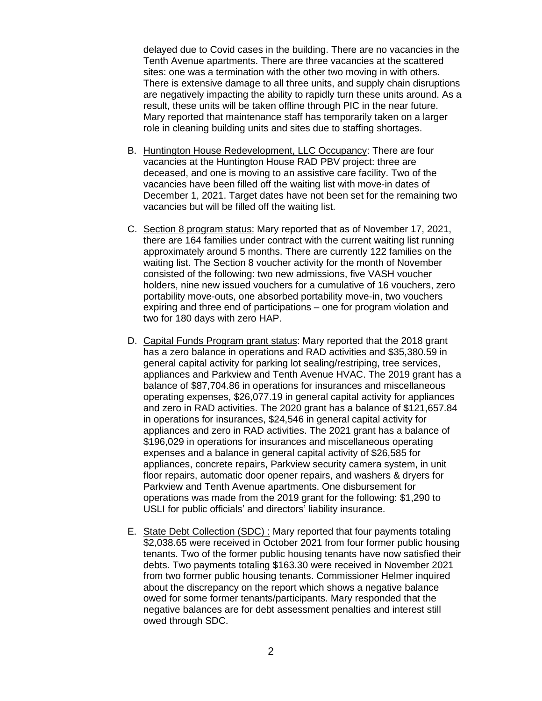delayed due to Covid cases in the building. There are no vacancies in the Tenth Avenue apartments. There are three vacancies at the scattered sites: one was a termination with the other two moving in with others. There is extensive damage to all three units, and supply chain disruptions are negatively impacting the ability to rapidly turn these units around. As a result, these units will be taken offline through PIC in the near future. Mary reported that maintenance staff has temporarily taken on a larger role in cleaning building units and sites due to staffing shortages.

- B. Huntington House Redevelopment, LLC Occupancy: There are four vacancies at the Huntington House RAD PBV project: three are deceased, and one is moving to an assistive care facility. Two of the vacancies have been filled off the waiting list with move-in dates of December 1, 2021. Target dates have not been set for the remaining two vacancies but will be filled off the waiting list.
- C. Section 8 program status: Mary reported that as of November 17, 2021, there are 164 families under contract with the current waiting list running approximately around 5 months. There are currently 122 families on the waiting list. The Section 8 voucher activity for the month of November consisted of the following: two new admissions, five VASH voucher holders, nine new issued vouchers for a cumulative of 16 vouchers, zero portability move-outs, one absorbed portability move-in, two vouchers expiring and three end of participations – one for program violation and two for 180 days with zero HAP.
- D. Capital Funds Program grant status: Mary reported that the 2018 grant has a zero balance in operations and RAD activities and \$35,380.59 in general capital activity for parking lot sealing/restriping, tree services, appliances and Parkview and Tenth Avenue HVAC. The 2019 grant has a balance of \$87,704.86 in operations for insurances and miscellaneous operating expenses, \$26,077.19 in general capital activity for appliances and zero in RAD activities. The 2020 grant has a balance of \$121,657.84 in operations for insurances, \$24,546 in general capital activity for appliances and zero in RAD activities. The 2021 grant has a balance of \$196,029 in operations for insurances and miscellaneous operating expenses and a balance in general capital activity of \$26,585 for appliances, concrete repairs, Parkview security camera system, in unit floor repairs, automatic door opener repairs, and washers & dryers for Parkview and Tenth Avenue apartments. One disbursement for operations was made from the 2019 grant for the following: \$1,290 to USLI for public officials' and directors' liability insurance.
- E. State Debt Collection (SDC) : Mary reported that four payments totaling \$2,038.65 were received in October 2021 from four former public housing tenants. Two of the former public housing tenants have now satisfied their debts. Two payments totaling \$163.30 were received in November 2021 from two former public housing tenants. Commissioner Helmer inquired about the discrepancy on the report which shows a negative balance owed for some former tenants/participants. Mary responded that the negative balances are for debt assessment penalties and interest still owed through SDC.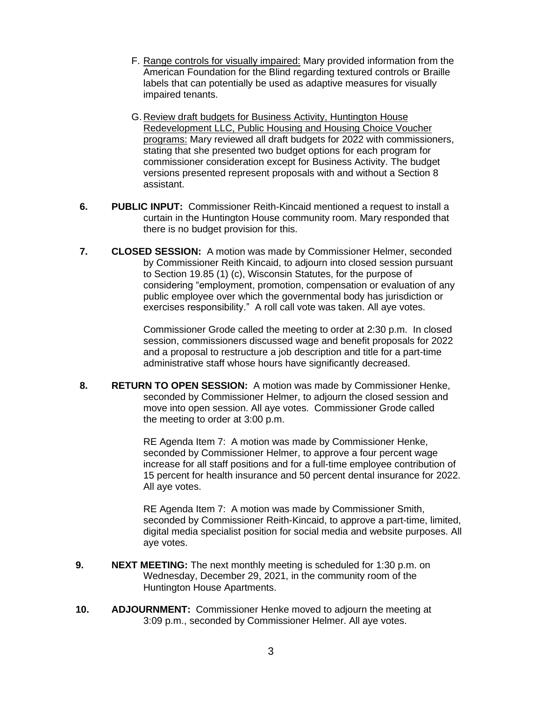- F. Range controls for visually impaired: Mary provided information from the American Foundation for the Blind regarding textured controls or Braille labels that can potentially be used as adaptive measures for visually impaired tenants.
- G. Review draft budgets for Business Activity, Huntington House Redevelopment LLC, Public Housing and Housing Choice Voucher programs: Mary reviewed all draft budgets for 2022 with commissioners, stating that she presented two budget options for each program for commissioner consideration except for Business Activity. The budget versions presented represent proposals with and without a Section 8 assistant.
- **6. PUBLIC INPUT:** Commissioner Reith-Kincaid mentioned a request to install a curtain in the Huntington House community room. Mary responded that there is no budget provision for this.
- **7. CLOSED SESSION:** A motion was made by Commissioner Helmer, seconded by Commissioner Reith Kincaid, to adjourn into closed session pursuant to Section 19.85 (1) (c), Wisconsin Statutes, for the purpose of considering "employment, promotion, compensation or evaluation of any public employee over which the governmental body has jurisdiction or exercises responsibility." A roll call vote was taken. All aye votes.

Commissioner Grode called the meeting to order at 2:30 p.m. In closed session, commissioners discussed wage and benefit proposals for 2022 and a proposal to restructure a job description and title for a part-time administrative staff whose hours have significantly decreased.

**8. RETURN TO OPEN SESSION:** A motion was made by Commissioner Henke, seconded by Commissioner Helmer, to adjourn the closed session and move into open session. All aye votes. Commissioner Grode called the meeting to order at 3:00 p.m.

> RE Agenda Item 7: A motion was made by Commissioner Henke, seconded by Commissioner Helmer, to approve a four percent wage increase for all staff positions and for a full-time employee contribution of 15 percent for health insurance and 50 percent dental insurance for 2022. All aye votes.

> RE Agenda Item 7: A motion was made by Commissioner Smith, seconded by Commissioner Reith-Kincaid, to approve a part-time, limited, digital media specialist position for social media and website purposes. All aye votes.

- **9. NEXT MEETING:** The next monthly meeting is scheduled for 1:30 p.m. on Wednesday, December 29, 2021, in the community room of the Huntington House Apartments.
- **10. ADJOURNMENT:** Commissioner Henke moved to adjourn the meeting at 3:09 p.m., seconded by Commissioner Helmer. All aye votes.